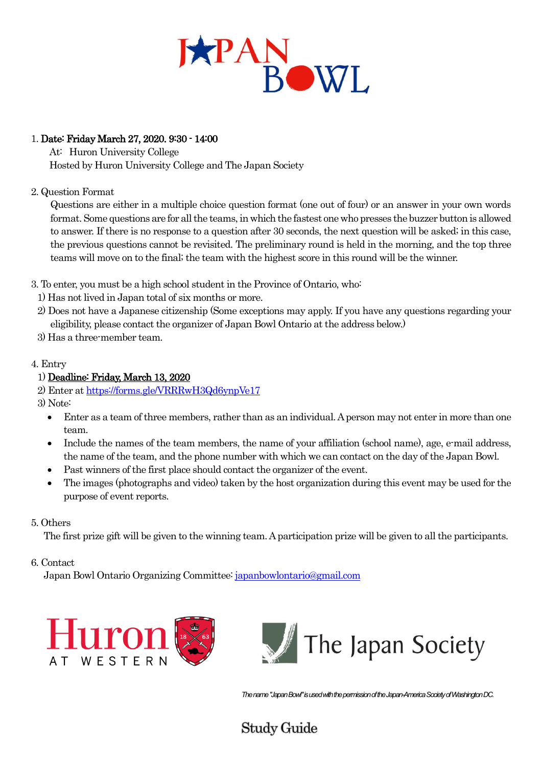

### 1. Date: Friday March 27, 2020. 9:30 - 14:00

At: Huron University College Hosted by Huron University College and The Japan Society

#### 2. Question Format

Questions are either in a multiple choice question format (one out of four) or an answer in your own words format. Some questions are for all the teams, in which the fastest one who presses the buzzer button is allowed to answer. If there is no response to a question after 30 seconds, the next question will be asked; in this case, the previous questions cannot be revisited. The preliminary round is held in the morning, and the top three teams will move on to the final; the team with the highest score in this round will be the winner.

3. To enter, you must be a high school student in the Province of Ontario, who:

- 1) Has not lived in Japan total of six months or more.
- 2) Does not have a Japanese citizenship (Some exceptions may apply. If you have any questions regarding your eligibility, please contact the organizer of Japan Bowl Ontario at the address below.)
- 3) Has a three-member team.

### 4. Entry

### 1) Deadline: Friday, March 13, 2020

2) Enter at https://forms.gle/VRRRwH3Qd6ynpVe17

- 3) Note:
	- Enter as a team of three members, rather than as an individual. A person may not enter in more than one team.
	- Include the names of the team members, the name of your affiliation (school name), age, e-mail address, the name of the team, and the phone number with which we can contact on the day of the Japan Bowl.
	- Past winners of the first place should contact the organizer of the event.
	- The images (photographs and video) taken by the host organization during this event may be used for the purpose of event reports.

#### 5. Others

The first prize gift will be given to the winning team. A participation prize will be given to all the participants.

#### 6. Contact

Japan Bowl Ontario Organizing Committee[: japanbowlontario@gmail.com](mailto:japanbowlontario@gmail.com)



*The name "Japan Bowl" is used with the permission of the Japan-America Society of Washington DC.*

# **Study Guide**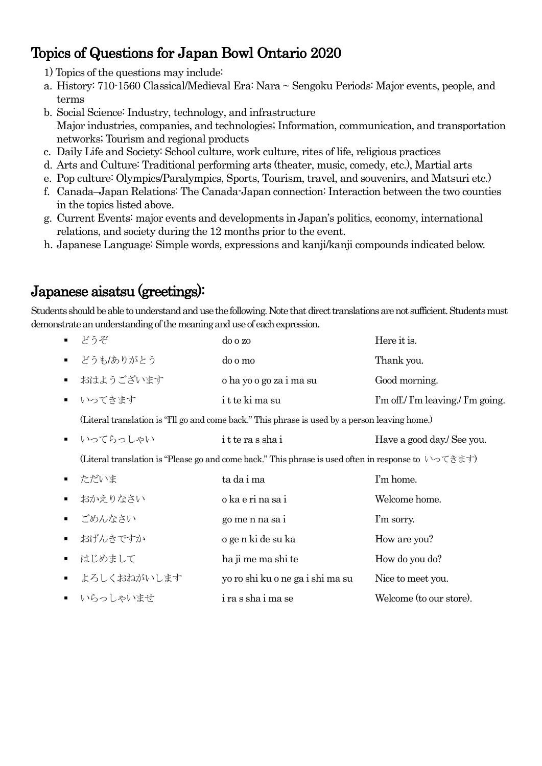# Topics of Questions for Japan Bowl Ontario 2020

- 1) Topics of the questions may include:
- a. History: 710-1560 Classical/Medieval Era: Nara ~ Sengoku Periods: Major events, people, and terms
- b. Social Science: Industry, technology, and infrastructure Major industries, companies, and technologies; Information, communication, and transportation networks; Tourism and regional products
- c. Daily Life and Society: School culture, work culture, rites of life, religious practices
- d. Arts and Culture: Traditional performing arts (theater, music, comedy, etc.), Martial arts
- e. Pop culture: Olympics/Paralympics, Sports, Tourism, travel, and souvenirs, and Matsuri etc.)
- f. Canada–Japan Relations: The Canada-Japan connection: Interaction between the two counties in the topics listed above.
- g. Current Events: major events and developments in Japan's politics, economy, international relations, and society during the 12 months prior to the event.
- h. Japanese Language: Simple words, expressions and kanji/kanji compounds indicated below.

# Japanese aisatsu (greetings):

Students should be able to understand and use the following. Note that direct translations are not sufficient. Students must demonstrate an understanding of the meaning and use of each expression.

| どうぞ                                                                                                                                           | do o zo                          | Here it is.                        |
|-----------------------------------------------------------------------------------------------------------------------------------------------|----------------------------------|------------------------------------|
| どうも/ありがとう                                                                                                                                     | do o mo                          | Thank you.                         |
| おはようございます                                                                                                                                     | o ha yo o go za i ma su          | Good morning.                      |
| いってきます                                                                                                                                        | it te ki ma su                   | I'm off./ I'm leaving./ I'm going. |
| (Literal translation is "I'll go and come back." This phrase is used by a person leaving home.)                                               |                                  |                                    |
| いってらっしゃい                                                                                                                                      | itterasshai                      | Have a good day./ See you.         |
| (Literal translation is "Please go and come back." This phrase is used often in response to $\vee$ $\circ$ $\uparrow$ $\uparrow$ $\uparrow$ ) |                                  |                                    |
| ただいま                                                                                                                                          | ta da i ma                       | I'm home.                          |
| おかえりなさい                                                                                                                                       | o ka e ri na sa i                | Welcome home.                      |
| ■ ごめんなさい                                                                                                                                      | go me n na sa i                  | I'm sorry.                         |
| おげんきですか                                                                                                                                       | o ge n ki de su ka               | How are you?                       |
| はじめまして                                                                                                                                        | ha ji me ma shi te               | How do you do?                     |
| よろしくおねがいします                                                                                                                                   | yo ro shi ku o ne ga i shi ma su | Nice to meet you.                  |
| ■ いらっしゃいませ                                                                                                                                    | i ra s sha i ma se               | Welcome (to our store).            |